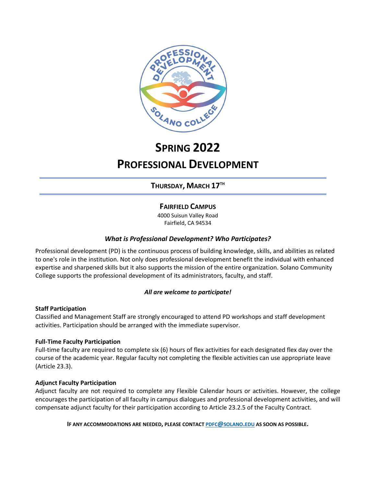

# **SPRING 2022 PROFESSIONAL DEVELOPMENT**

**THURSDAY, MARCH 17TH**

## **FAIRFIELD CAMPUS**

4000 Suisun Valley Road Fairfield, CA 94534

## *What is Professional Development? Who Participates?*

Professional development (PD) is the continuous process of building knowledge, skills, and abilities as related to one's role in the institution. Not only does professional development benefit the individual with enhanced expertise and sharpened skills but it also supports the mission of the entire organization. Solano Community College supports the professional development of its administrators, faculty, and staff.

## *All are welcome to participate!*

### **Staff Participation**

Classified and Management Staff are strongly encouraged to attend PD workshops and staff development activities. Participation should be arranged with the immediate supervisor.

### **Full-Time Faculty Participation**

Full-time faculty are required to complete six (6) hours of flex activities for each designated flex day over the course of the academic year. Regular faculty not completing the flexible activities can use appropriate leave (Article 23.3).

### **Adjunct Faculty Participation**

Adjunct faculty are not required to complete any Flexible Calendar hours or activities. However, the college encourages the participation of all faculty in campus dialogues and professional development activities, and will compensate adjunct faculty for their participation according to Article 23.2.5 of the Faculty Contract.

**IF ANY ACCOMMODATIONS ARE NEEDED, PLEASE CONTACT [PDFC@SOLANO.EDU](about:blank) AS SOON AS POSSIBLE.**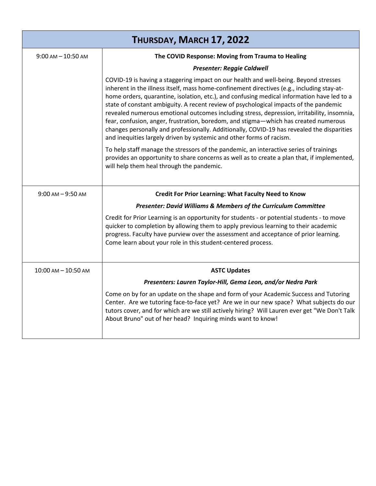| THURSDAY, MARCH 17, 2022 |                                                                                                                                                                                                                                                                                                                                                                                                                                                                                                                                                                                                                                                                                                                                      |  |
|--------------------------|--------------------------------------------------------------------------------------------------------------------------------------------------------------------------------------------------------------------------------------------------------------------------------------------------------------------------------------------------------------------------------------------------------------------------------------------------------------------------------------------------------------------------------------------------------------------------------------------------------------------------------------------------------------------------------------------------------------------------------------|--|
| $9:00$ AM $-10:50$ AM    | The COVID Response: Moving from Trauma to Healing                                                                                                                                                                                                                                                                                                                                                                                                                                                                                                                                                                                                                                                                                    |  |
|                          | <b>Presenter: Reggie Caldwell</b>                                                                                                                                                                                                                                                                                                                                                                                                                                                                                                                                                                                                                                                                                                    |  |
|                          | COVID-19 is having a staggering impact on our health and well-being. Beyond stresses<br>inherent in the illness itself, mass home-confinement directives (e.g., including stay-at-<br>home orders, quarantine, isolation, etc.), and confusing medical information have led to a<br>state of constant ambiguity. A recent review of psychological impacts of the pandemic<br>revealed numerous emotional outcomes including stress, depression, irritability, insomnia,<br>fear, confusion, anger, frustration, boredom, and stigma—which has created numerous<br>changes personally and professionally. Additionally, COVID-19 has revealed the disparities<br>and inequities largely driven by systemic and other forms of racism. |  |
|                          | To help staff manage the stressors of the pandemic, an interactive series of trainings<br>provides an opportunity to share concerns as well as to create a plan that, if implemented,<br>will help them heal through the pandemic.                                                                                                                                                                                                                                                                                                                                                                                                                                                                                                   |  |
| $9:00$ AM $-9:50$ AM     | <b>Credit For Prior Learning: What Faculty Need to Know</b>                                                                                                                                                                                                                                                                                                                                                                                                                                                                                                                                                                                                                                                                          |  |
|                          | <b>Presenter: David Williams &amp; Members of the Curriculum Committee</b>                                                                                                                                                                                                                                                                                                                                                                                                                                                                                                                                                                                                                                                           |  |
|                          | Credit for Prior Learning is an opportunity for students - or potential students - to move<br>quicker to completion by allowing them to apply previous learning to their academic<br>progress. Faculty have purview over the assessment and acceptance of prior learning.<br>Come learn about your role in this student-centered process.                                                                                                                                                                                                                                                                                                                                                                                            |  |
| $10:00$ AM $- 10:50$ AM  | <b>ASTC Updates</b>                                                                                                                                                                                                                                                                                                                                                                                                                                                                                                                                                                                                                                                                                                                  |  |
|                          | Presenters: Lauren Taylor-Hill, Gema Leon, and/or Nedra Park                                                                                                                                                                                                                                                                                                                                                                                                                                                                                                                                                                                                                                                                         |  |
|                          | Come on by for an update on the shape and form of your Academic Success and Tutoring<br>Center. Are we tutoring face-to-face yet? Are we in our new space? What subjects do our<br>tutors cover, and for which are we still actively hiring? Will Lauren ever get "We Don't Talk<br>About Bruno" out of her head? Inquiring minds want to know!                                                                                                                                                                                                                                                                                                                                                                                      |  |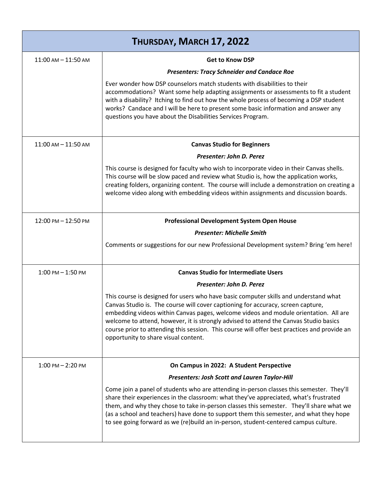| THURSDAY, MARCH 17, 2022 |                                                                                                                                                                                                                                                                                                                                                                                                                                                                                                   |  |
|--------------------------|---------------------------------------------------------------------------------------------------------------------------------------------------------------------------------------------------------------------------------------------------------------------------------------------------------------------------------------------------------------------------------------------------------------------------------------------------------------------------------------------------|--|
| $11:00$ AM $- 11:50$ AM  | <b>Get to Know DSP</b>                                                                                                                                                                                                                                                                                                                                                                                                                                                                            |  |
|                          | <b>Presenters: Tracy Schneider and Candace Roe</b>                                                                                                                                                                                                                                                                                                                                                                                                                                                |  |
|                          | Ever wonder how DSP counselors match students with disabilities to their<br>accommodations? Want some help adapting assignments or assessments to fit a student<br>with a disability? Itching to find out how the whole process of becoming a DSP student<br>works? Candace and I will be here to present some basic information and answer any<br>questions you have about the Disabilities Services Program.                                                                                    |  |
| $11:00$ AM $- 11:50$ AM  | <b>Canvas Studio for Beginners</b>                                                                                                                                                                                                                                                                                                                                                                                                                                                                |  |
|                          | Presenter: John D. Perez                                                                                                                                                                                                                                                                                                                                                                                                                                                                          |  |
|                          | This course is designed for faculty who wish to incorporate video in their Canvas shells.<br>This course will be slow paced and review what Studio is, how the application works,<br>creating folders, organizing content. The course will include a demonstration on creating a<br>welcome video along with embedding videos within assignments and discussion boards.                                                                                                                           |  |
| 12:00 PM - 12:50 PM      | <b>Professional Development System Open House</b>                                                                                                                                                                                                                                                                                                                                                                                                                                                 |  |
|                          | <b>Presenter: Michelle Smith</b>                                                                                                                                                                                                                                                                                                                                                                                                                                                                  |  |
|                          | Comments or suggestions for our new Professional Development system? Bring 'em here!                                                                                                                                                                                                                                                                                                                                                                                                              |  |
| $1:00$ PM $-1:50$ PM     | <b>Canvas Studio for Intermediate Users</b>                                                                                                                                                                                                                                                                                                                                                                                                                                                       |  |
|                          | Presenter: John D. Perez                                                                                                                                                                                                                                                                                                                                                                                                                                                                          |  |
|                          | This course is designed for users who have basic computer skills and understand what<br>Canvas Studio is. The course will cover captioning for accuracy, screen capture,<br>embedding videos within Canvas pages, welcome videos and module orientation. All are<br>welcome to attend, however, it is strongly advised to attend the Canvas Studio basics<br>course prior to attending this session. This course will offer best practices and provide an<br>opportunity to share visual content. |  |
| $1:00$ PM $- 2:20$ PM    | On Campus in 2022: A Student Perspective                                                                                                                                                                                                                                                                                                                                                                                                                                                          |  |
|                          | <b>Presenters: Josh Scott and Lauren Taylor-Hill</b>                                                                                                                                                                                                                                                                                                                                                                                                                                              |  |
|                          | Come join a panel of students who are attending in-person classes this semester. They'll<br>share their experiences in the classroom: what they've appreciated, what's frustrated<br>them, and why they chose to take in-person classes this semester. They'll share what we<br>(as a school and teachers) have done to support them this semester, and what they hope<br>to see going forward as we (re)build an in-person, student-centered campus culture.                                     |  |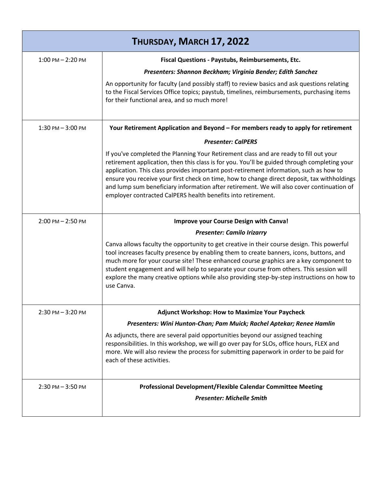| THURSDAY, MARCH 17, 2022 |                                                                                                                                                                                                                                                                                                                                                                                                                                                                                                                                             |  |
|--------------------------|---------------------------------------------------------------------------------------------------------------------------------------------------------------------------------------------------------------------------------------------------------------------------------------------------------------------------------------------------------------------------------------------------------------------------------------------------------------------------------------------------------------------------------------------|--|
| $1:00$ PM $- 2:20$ PM    | Fiscal Questions - Paystubs, Reimbursements, Etc.                                                                                                                                                                                                                                                                                                                                                                                                                                                                                           |  |
|                          | Presenters: Shannon Beckham; Virginia Bender; Edith Sanchez                                                                                                                                                                                                                                                                                                                                                                                                                                                                                 |  |
|                          | An opportunity for faculty (and possibly staff) to review basics and ask questions relating<br>to the Fiscal Services Office topics; paystub, timelines, reimbursements, purchasing items<br>for their functional area, and so much more!                                                                                                                                                                                                                                                                                                   |  |
| $1:30$ PM $-3:00$ PM     | Your Retirement Application and Beyond – For members ready to apply for retirement                                                                                                                                                                                                                                                                                                                                                                                                                                                          |  |
|                          | <b>Presenter: CalPERS</b>                                                                                                                                                                                                                                                                                                                                                                                                                                                                                                                   |  |
|                          | If you've completed the Planning Your Retirement class and are ready to fill out your<br>retirement application, then this class is for you. You'll be guided through completing your<br>application. This class provides important post-retirement information, such as how to<br>ensure you receive your first check on time, how to change direct deposit, tax withholdings<br>and lump sum beneficiary information after retirement. We will also cover continuation of<br>employer contracted CalPERS health benefits into retirement. |  |
| $2:00$ PM $- 2:50$ PM    | Improve your Course Design with Canva!                                                                                                                                                                                                                                                                                                                                                                                                                                                                                                      |  |
|                          | <b>Presenter: Camilo Irizarry</b>                                                                                                                                                                                                                                                                                                                                                                                                                                                                                                           |  |
|                          | Canva allows faculty the opportunity to get creative in their course design. This powerful<br>tool increases faculty presence by enabling them to create banners, icons, buttons, and<br>much more for your course site! These enhanced course graphics are a key component to<br>student engagement and will help to separate your course from others. This session will<br>explore the many creative options while also providing step-by-step instructions on how to<br>use Canva.                                                       |  |
| $2:30$ PM $-3:20$ PM     | Adjunct Workshop: How to Maximize Your Paycheck                                                                                                                                                                                                                                                                                                                                                                                                                                                                                             |  |
|                          | Presenters: Wini Hunton-Chan; Pam Muick; Rachel Aptekar; Renee Hamlin                                                                                                                                                                                                                                                                                                                                                                                                                                                                       |  |
|                          | As adjuncts, there are several paid opportunities beyond our assigned teaching<br>responsibilities. In this workshop, we will go over pay for SLOs, office hours, FLEX and<br>more. We will also review the process for submitting paperwork in order to be paid for<br>each of these activities.                                                                                                                                                                                                                                           |  |
| $2:30$ PM $-3:50$ PM     | Professional Development/Flexible Calendar Committee Meeting                                                                                                                                                                                                                                                                                                                                                                                                                                                                                |  |
|                          | <b>Presenter: Michelle Smith</b>                                                                                                                                                                                                                                                                                                                                                                                                                                                                                                            |  |